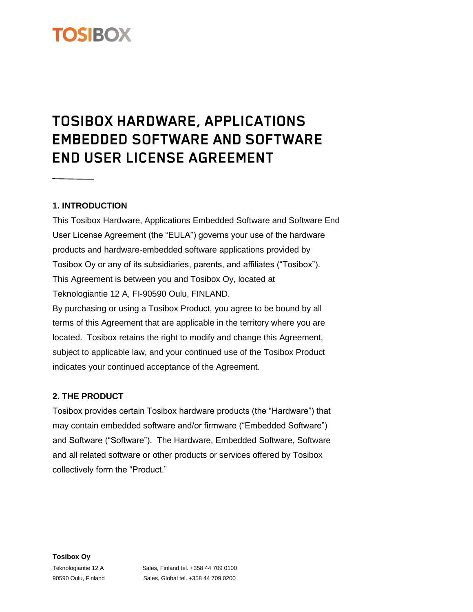# **TOSIBOX**

## TOSIBOX HARDWARE, APPLICATIONS **EMBEDDED SOFTWARE AND SOFTWARE END USER LICENSE AGREEMENT**

## **1. INTRODUCTION**

This Tosibox Hardware, Applications Embedded Software and Software End User License Agreement (the "EULA") governs your use of the hardware products and hardware-embedded software applications provided by Tosibox Oy or any of its subsidiaries, parents, and affiliates ("Tosibox"). This Agreement is between you and Tosibox Oy, located at Teknologiantie 12 A, FI-90590 Oulu, FINLAND. By purchasing or using a Tosibox Product, you agree to be bound by all

terms of this Agreement that are applicable in the territory where you are located. Tosibox retains the right to modify and change this Agreement, subject to applicable law, and your continued use of the Tosibox Product indicates your continued acceptance of the Agreement.

### **2. THE PRODUCT**

Tosibox provides certain Tosibox hardware products (the "Hardware") that may contain embedded software and/or firmware ("Embedded Software") and Software ("Software"). The Hardware, Embedded Software, Software and all related software or other products or services offered by Tosibox collectively form the "Product."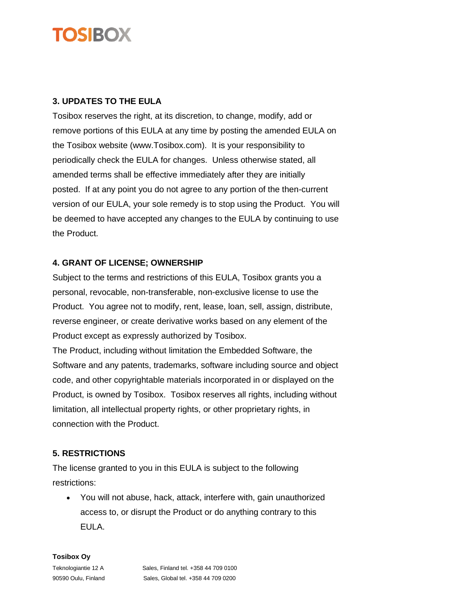## **OSIBOX**

## **3. UPDATES TO THE EULA**

Tosibox reserves the right, at its discretion, to change, modify, add or remove portions of this EULA at any time by posting the amended EULA on the Tosibox website (www.Tosibox.com). It is your responsibility to periodically check the EULA for changes. Unless otherwise stated, all amended terms shall be effective immediately after they are initially posted. If at any point you do not agree to any portion of the then-current version of our EULA, your sole remedy is to stop using the Product. You will be deemed to have accepted any changes to the EULA by continuing to use the Product.

## **4. GRANT OF LICENSE; OWNERSHIP**

Subject to the terms and restrictions of this EULA, Tosibox grants you a personal, revocable, non-transferable, non-exclusive license to use the Product. You agree not to modify, rent, lease, loan, sell, assign, distribute, reverse engineer, or create derivative works based on any element of the Product except as expressly authorized by Tosibox.

The Product, including without limitation the Embedded Software, the Software and any patents, trademarks, software including source and object code, and other copyrightable materials incorporated in or displayed on the Product, is owned by Tosibox. Tosibox reserves all rights, including without limitation, all intellectual property rights, or other proprietary rights, in connection with the Product.

## **5. RESTRICTIONS**

The license granted to you in this EULA is subject to the following restrictions:

• You will not abuse, hack, attack, interfere with, gain unauthorized access to, or disrupt the Product or do anything contrary to this EULA.

**Tosibox Oy**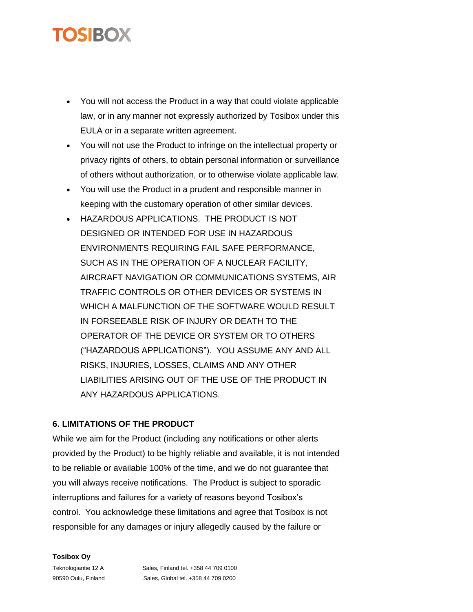## TOSIBOX

- You will not access the Product in a way that could violate applicable law, or in any manner not expressly authorized by Tosibox under this EULA or in a separate written agreement.
- You will not use the Product to infringe on the intellectual property or privacy rights of others, to obtain personal information or surveillance of others without authorization, or to otherwise violate applicable law.
- You will use the Product in a prudent and responsible manner in keeping with the customary operation of other similar devices.
- HAZARDOUS APPLICATIONS. THE PRODUCT IS NOT DESIGNED OR INTENDED FOR USE IN HAZARDOUS ENVIRONMENTS REQUIRING FAIL SAFE PERFORMANCE, SUCH AS IN THE OPERATION OF A NUCLEAR FACILITY, AIRCRAFT NAVIGATION OR COMMUNICATIONS SYSTEMS, AIR TRAFFIC CONTROLS OR OTHER DEVICES OR SYSTEMS IN WHICH A MALFUNCTION OF THE SOFTWARE WOULD RESULT IN FORSEEABLE RISK OF INJURY OR DEATH TO THE OPERATOR OF THE DEVICE OR SYSTEM OR TO OTHERS ("HAZARDOUS APPLICATIONS"). YOU ASSUME ANY AND ALL RISKS, INJURIES, LOSSES, CLAIMS AND ANY OTHER LIABILITIES ARISING OUT OF THE USE OF THE PRODUCT IN ANY HAZARDOUS APPLICATIONS.

## **6. LIMITATIONS OF THE PRODUCT**

While we aim for the Product (including any notifications or other alerts provided by the Product) to be highly reliable and available, it is not intended to be reliable or available 100% of the time, and we do not guarantee that you will always receive notifications. The Product is subject to sporadic interruptions and failures for a variety of reasons beyond Tosibox's control. You acknowledge these limitations and agree that Tosibox is not responsible for any damages or injury allegedly caused by the failure or

#### **Tosibox Oy**

Teknologiantie 12 A Sales, Finland tel. +358 44 709 0100 90590 Oulu, Finland Sales, Global tel. +358 44 709 0200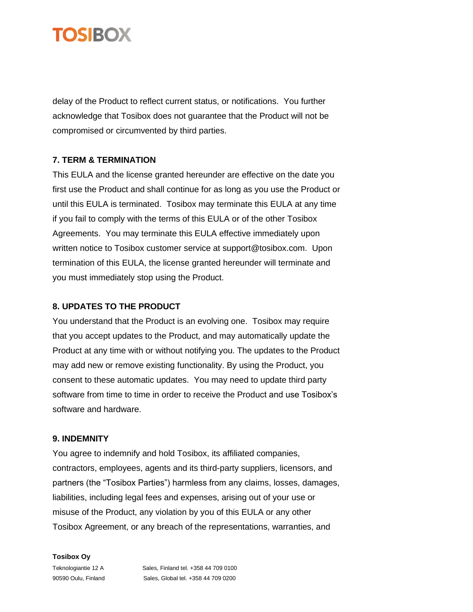

delay of the Product to reflect current status, or notifications. You further acknowledge that Tosibox does not guarantee that the Product will not be compromised or circumvented by third parties.

## **7. TERM & TERMINATION**

This EULA and the license granted hereunder are effective on the date you first use the Product and shall continue for as long as you use the Product or until this EULA is terminated. Tosibox may terminate this EULA at any time if you fail to comply with the terms of this EULA or of the other Tosibox Agreements. You may terminate this EULA effective immediately upon written notice to Tosibox customer service at support@tosibox.com. Upon termination of this EULA, the license granted hereunder will terminate and you must immediately stop using the Product.

#### **8. UPDATES TO THE PRODUCT**

You understand that the Product is an evolving one. Tosibox may require that you accept updates to the Product, and may automatically update the Product at any time with or without notifying you. The updates to the Product may add new or remove existing functionality. By using the Product, you consent to these automatic updates. You may need to update third party software from time to time in order to receive the Product and use Tosibox's software and hardware.

#### **9. INDEMNITY**

You agree to indemnify and hold Tosibox, its affiliated companies, contractors, employees, agents and its third-party suppliers, licensors, and partners (the "Tosibox Parties") harmless from any claims, losses, damages, liabilities, including legal fees and expenses, arising out of your use or misuse of the Product, any violation by you of this EULA or any other Tosibox Agreement, or any breach of the representations, warranties, and

**Tosibox Oy**

Teknologiantie 12 A Sales, Finland tel. +358 44 709 0100 90590 Oulu, Finland Sales, Global tel. +358 44 709 0200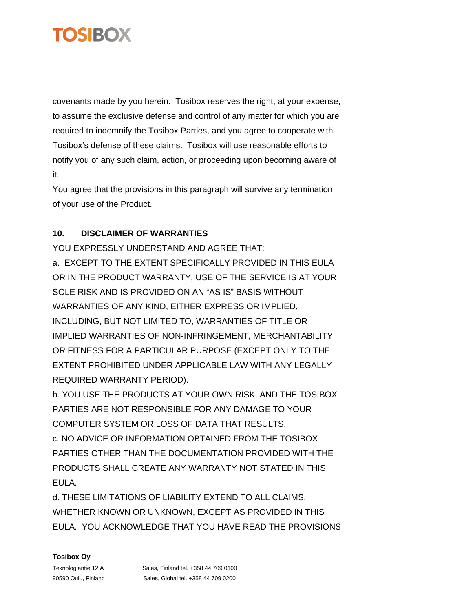

covenants made by you herein. Tosibox reserves the right, at your expense, to assume the exclusive defense and control of any matter for which you are required to indemnify the Tosibox Parties, and you agree to cooperate with Tosibox's defense of these claims. Tosibox will use reasonable efforts to notify you of any such claim, action, or proceeding upon becoming aware of it.

You agree that the provisions in this paragraph will survive any termination of your use of the Product.

## **10. DISCLAIMER OF WARRANTIES**

YOU EXPRESSLY UNDERSTAND AND AGREE THAT: a. EXCEPT TO THE EXTENT SPECIFICALLY PROVIDED IN THIS EULA OR IN THE PRODUCT WARRANTY, USE OF THE SERVICE IS AT YOUR SOLE RISK AND IS PROVIDED ON AN "AS IS" BASIS WITHOUT WARRANTIES OF ANY KIND, EITHER EXPRESS OR IMPLIED, INCLUDING, BUT NOT LIMITED TO, WARRANTIES OF TITLE OR IMPLIED WARRANTIES OF NON-INFRINGEMENT, MERCHANTABILITY OR FITNESS FOR A PARTICULAR PURPOSE (EXCEPT ONLY TO THE EXTENT PROHIBITED UNDER APPLICABLE LAW WITH ANY LEGALLY REQUIRED WARRANTY PERIOD).

b. YOU USE THE PRODUCTS AT YOUR OWN RISK, AND THE TOSIBOX PARTIES ARE NOT RESPONSIBLE FOR ANY DAMAGE TO YOUR COMPUTER SYSTEM OR LOSS OF DATA THAT RESULTS. c. NO ADVICE OR INFORMATION OBTAINED FROM THE TOSIBOX PARTIES OTHER THAN THE DOCUMENTATION PROVIDED WITH THE PRODUCTS SHALL CREATE ANY WARRANTY NOT STATED IN THIS EULA.

d. THESE LIMITATIONS OF LIABILITY EXTEND TO ALL CLAIMS, WHETHER KNOWN OR UNKNOWN, EXCEPT AS PROVIDED IN THIS EULA. YOU ACKNOWLEDGE THAT YOU HAVE READ THE PROVISIONS

#### **Tosibox Oy**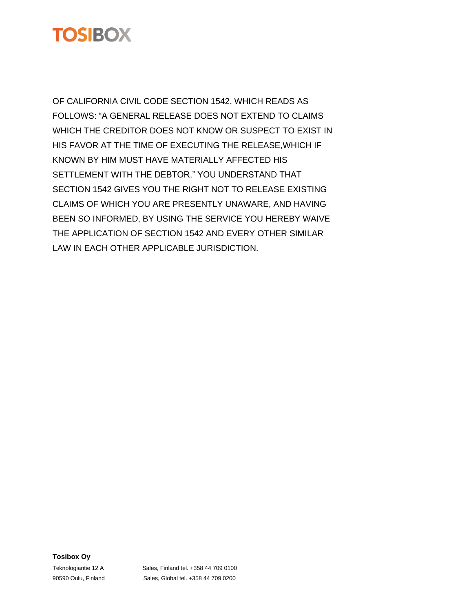

OF CALIFORNIA CIVIL CODE SECTION 1542, WHICH READS AS FOLLOWS: "A GENERAL RELEASE DOES NOT EXTEND TO CLAIMS WHICH THE CREDITOR DOES NOT KNOW OR SUSPECT TO EXIST IN HIS FAVOR AT THE TIME OF EXECUTING THE RELEASE,WHICH IF KNOWN BY HIM MUST HAVE MATERIALLY AFFECTED HIS SETTLEMENT WITH THE DEBTOR." YOU UNDERSTAND THAT SECTION 1542 GIVES YOU THE RIGHT NOT TO RELEASE EXISTING CLAIMS OF WHICH YOU ARE PRESENTLY UNAWARE, AND HAVING BEEN SO INFORMED, BY USING THE SERVICE YOU HEREBY WAIVE THE APPLICATION OF SECTION 1542 AND EVERY OTHER SIMILAR LAW IN EACH OTHER APPLICABLE JURISDICTION.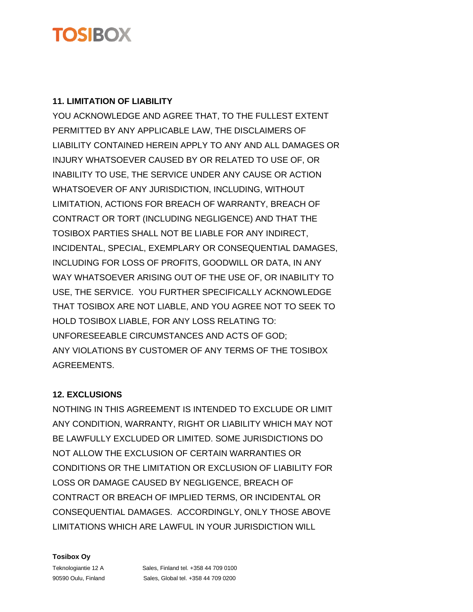## **TOS BOX**

## **11. LIMITATION OF LIABILITY**

YOU ACKNOWLEDGE AND AGREE THAT, TO THE FULLEST EXTENT PERMITTED BY ANY APPLICABLE LAW, THE DISCLAIMERS OF LIABILITY CONTAINED HEREIN APPLY TO ANY AND ALL DAMAGES OR INJURY WHATSOEVER CAUSED BY OR RELATED TO USE OF, OR INABILITY TO USE, THE SERVICE UNDER ANY CAUSE OR ACTION WHATSOEVER OF ANY JURISDICTION, INCLUDING, WITHOUT LIMITATION, ACTIONS FOR BREACH OF WARRANTY, BREACH OF CONTRACT OR TORT (INCLUDING NEGLIGENCE) AND THAT THE TOSIBOX PARTIES SHALL NOT BE LIABLE FOR ANY INDIRECT, INCIDENTAL, SPECIAL, EXEMPLARY OR CONSEQUENTIAL DAMAGES, INCLUDING FOR LOSS OF PROFITS, GOODWILL OR DATA, IN ANY WAY WHATSOEVER ARISING OUT OF THE USE OF, OR INABILITY TO USE, THE SERVICE. YOU FURTHER SPECIFICALLY ACKNOWLEDGE THAT TOSIBOX ARE NOT LIABLE, AND YOU AGREE NOT TO SEEK TO HOLD TOSIBOX LIABLE, FOR ANY LOSS RELATING TO: UNFORESEEABLE CIRCUMSTANCES AND ACTS OF GOD; ANY VIOLATIONS BY CUSTOMER OF ANY TERMS OF THE TOSIBOX AGREEMENTS.

## **12. EXCLUSIONS**

NOTHING IN THIS AGREEMENT IS INTENDED TO EXCLUDE OR LIMIT ANY CONDITION, WARRANTY, RIGHT OR LIABILITY WHICH MAY NOT BE LAWFULLY EXCLUDED OR LIMITED. SOME JURISDICTIONS DO NOT ALLOW THE EXCLUSION OF CERTAIN WARRANTIES OR CONDITIONS OR THE LIMITATION OR EXCLUSION OF LIABILITY FOR LOSS OR DAMAGE CAUSED BY NEGLIGENCE, BREACH OF CONTRACT OR BREACH OF IMPLIED TERMS, OR INCIDENTAL OR CONSEQUENTIAL DAMAGES. ACCORDINGLY, ONLY THOSE ABOVE LIMITATIONS WHICH ARE LAWFUL IN YOUR JURISDICTION WILL

#### **Tosibox Oy**